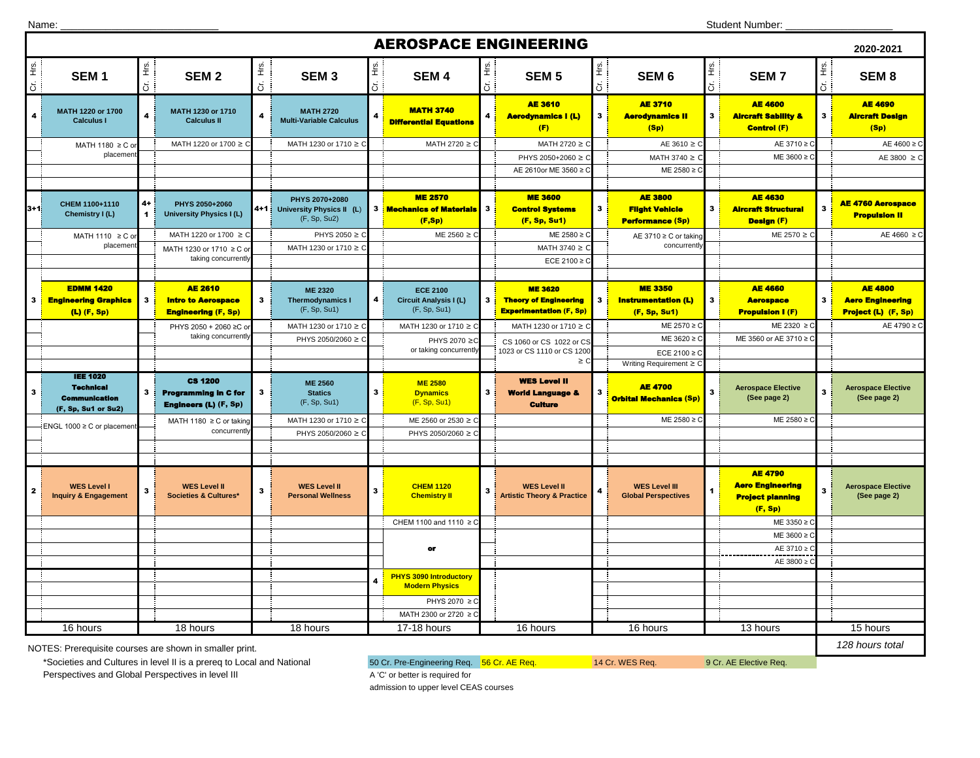| Name: |  |  |
|-------|--|--|
|       |  |  |

|                  | <b>AEROSPACE ENGINEERING</b><br>2020-2021                                          |                      |                                                                               |                         |                                                                 |                   |                                                                  |                |                                                                                  |                   |                                                                            |                         |                                                                                 |              |                                                                         |
|------------------|------------------------------------------------------------------------------------|----------------------|-------------------------------------------------------------------------------|-------------------------|-----------------------------------------------------------------|-------------------|------------------------------------------------------------------|----------------|----------------------------------------------------------------------------------|-------------------|----------------------------------------------------------------------------|-------------------------|---------------------------------------------------------------------------------|--------------|-------------------------------------------------------------------------|
| Hrs.<br>$\sigma$ | SEM <sub>1</sub>                                                                   | $\frac{16}{2}$<br>ຮັ | SEM <sub>2</sub>                                                              | ί.<br>Ε<br>ä            | SEM <sub>3</sub>                                                | $rac{1}{2}$<br>ర! | SEM <sub>4</sub>                                                 | Es.<br>5       | <b>SEM 5</b>                                                                     | $rac{6}{5}$<br>8් | SEM <sub>6</sub>                                                           | Cr. Hrs.                | <b>SEM7</b>                                                                     | Cr. Hrs.     | SEM <sub>8</sub>                                                        |
| 4                | MATH 1220 or 1700<br><b>Calculus I</b>                                             | 4                    | MATH 1230 or 1710<br><b>Calculus II</b>                                       | $\overline{\mathbf{4}}$ | <b>MATH 2720</b><br><b>Multi-Variable Calculus</b>              |                   | <b>MATH 3740</b><br><b>Differential Equations</b>                | 4              | <b>AE 3610</b><br><b>Aerodynamics I (L)</b><br>(F)                               | 3 <mark>i</mark>  | <b>AE 3710</b><br><b>Aerodynamics II</b><br>(Sp)                           | 3 <sup>1</sup>          | <b>AE 4600</b><br><b>Aircraft Sability &amp;</b><br><b>Control (F)</b>          | $\mathbf{3}$ | <b>AE 4690</b><br><b>Aircraft Design</b><br>(Sp)                        |
|                  | MATH 1180 ≥ C o                                                                    |                      | MATH 1220 or 1700 ≥ 0                                                         |                         | MATH 1230 or 1710 ≥                                             |                   | MATH 2720 ≥ 0                                                    |                | MATH 2720 ≥ 0                                                                    |                   | $AE 3610 \ge 0$                                                            |                         | AE 3710 ≥                                                                       |              | AE $4600 \ge C$                                                         |
|                  | placemen                                                                           |                      |                                                                               |                         |                                                                 |                   |                                                                  |                | PHYS 2050+2060 ≥ 0                                                               |                   | MATH 3740 $\geq$                                                           |                         | ME 3600 ≥ 0                                                                     |              | AE 3800 $\geq$ C                                                        |
|                  |                                                                                    |                      |                                                                               |                         |                                                                 |                   |                                                                  |                | AE 2610or ME 3560 ≥                                                              |                   | ME 2580 ≥ 0                                                                |                         |                                                                                 |              |                                                                         |
| 3+1.             | CHEM 1100+1110<br>Chemistry I (L)                                                  | 4+<br>1              | PHYS 2050+2060<br><b>University Physics I (L)</b>                             |                         | PHYS 2070+2080<br>4+1 University Physics II (L)<br>(F, Sp, Su2) |                   | <b>ME 2570</b><br>3 Mechanics of Materials<br>(F, Sp)            | $\mathbf{3}$   | <b>ME 3600</b><br><b>Control Systems</b><br>(F, Sp, Su1)                         | $\mathbf{3}$      | <b>AE 3800</b><br><b>Flight Vehicle</b><br><b>Performance (Sp)</b>         | $\overline{\mathbf{3}}$ | <b>AE 4630</b><br><b>Aircraft Structural</b><br><b>Design (F)</b>               | $\mathbf{3}$ | <b>AE 4760 Aerospace</b><br><b>Propulsion II</b>                        |
|                  | MATH 1110 ≥ C or                                                                   |                      | MATH 1220 or 1700 ≥                                                           |                         | PHYS 2050 ≥ 0                                                   |                   | $ME 2560 \ge 0$                                                  |                | ME 2580 ≥ 0                                                                      |                   | AE 3710 ≥ C or taking                                                      |                         | ME 2570 ≥                                                                       |              | AE 4660 $\geq$ C                                                        |
|                  | placement                                                                          |                      | MATH 1230 or 1710 ≥ C o                                                       |                         | MATH 1230 or 1710 ≥ C                                           |                   |                                                                  |                | MATH 3740 ≥                                                                      |                   | concurrently                                                               |                         |                                                                                 |              |                                                                         |
|                  |                                                                                    |                      | taking concurrently                                                           |                         |                                                                 |                   |                                                                  |                | ECE 2100 ≥ 0                                                                     |                   |                                                                            |                         |                                                                                 |              |                                                                         |
|                  |                                                                                    |                      |                                                                               |                         |                                                                 |                   |                                                                  |                |                                                                                  |                   |                                                                            |                         |                                                                                 |              |                                                                         |
| 3                | <b>EDMM 1420</b><br><b>Engineering Graphics</b><br>$(L)$ (F, Sp)                   | 3                    | <b>AE 2610</b><br><b>Intro to Aerospace</b><br><b>Engineering (F, Sp)</b>     | $\mathbf{3}$            | <b>ME 2320</b><br><b>Thermodynamics I</b><br>(F, Sp, Su1)       | 4                 | <b>ECE 2100</b><br><b>Circuit Analysis I (L)</b><br>(F, Sp, Su1) | $\mathbf{3}$   | <b>ME 3620</b><br><b>Theory of Engineering</b><br><b>Experimentation (F, Sp)</b> | 3                 | <b>ME 3350</b><br><b>Instrumentation (L)</b><br>(F, Sp, Su1)               | 3 <sub>1</sub>          | <b>AE 4660</b><br><b>Aerospace</b><br><b>Propulsion I (F)</b>                   | $\mathbf{3}$ | <b>AE 4800</b><br><b>Aero Engineering</b><br><b>Project (L) (F, Sp)</b> |
|                  |                                                                                    |                      | PHYS 2050 + 2060 ≥C or                                                        |                         | MATH 1230 or 1710 ≥ C                                           |                   | MATH 1230 or 1710 ≥ C                                            |                | MATH 1230 or 1710 ≥ C                                                            |                   | ME 2570 ≥ 0                                                                |                         | ME 2320 ≥ 0                                                                     |              | AE 4790 ≥ C                                                             |
|                  |                                                                                    |                      | taking concurrently                                                           |                         | PHYS 2050/2060 ≥                                                |                   | PHYS 2070 ≥0                                                     |                | CS 1060 or CS 1022 or CS                                                         |                   | ME 3620 ≥ 0                                                                |                         | ME 3560 or AE 3710 ≥ 0                                                          |              |                                                                         |
|                  |                                                                                    |                      |                                                                               |                         |                                                                 |                   | or taking concurrently                                           |                | 1023 or CS 1110 or CS 1200<br>$\geq$ C                                           |                   | ECE 2100 $\geq$ 0                                                          |                         |                                                                                 |              |                                                                         |
|                  | <b>IEE 1020</b><br><b>Technical</b><br><b>Communication</b><br>(F, Sp, Su1 or Su2) | 3                    | <b>CS 1200</b><br><b>Programming in C for</b><br><b>Engineers (L) (F, Sp)</b> | $\mathbf{3}$            | <b>ME 2560</b><br><b>Statics</b><br>(F, Sp, Su1)                | 3                 | <b>ME 2580</b><br><b>Dynamics</b><br>(F, Sp, Su1)                | 3 <sub>1</sub> | <b>WES Level II</b><br><b>World Language &amp;</b><br><b>Culture</b>             |                   | Writing Requirement ≥ 0<br><b>AE 4700</b><br><b>Orbital Mechanics (Sp)</b> |                         | <b>Aerospace Elective</b><br>(See page 2)                                       |              | <b>Aerospace Elective</b><br>(See page 2)                               |
|                  | ENGL 1000 ≥ C or placemen                                                          |                      | MATH 1180 ≥ C or taking                                                       |                         | MATH 1230 or 1710 ≥                                             |                   | ME 2560 or 2530 ≥                                                |                |                                                                                  |                   | $ME 2580 \ge 0$                                                            |                         | ME 2580 $\geq$ C                                                                |              |                                                                         |
|                  |                                                                                    |                      | concurrentl                                                                   |                         | PHYS 2050/2060 ≥                                                |                   | PHYS 2050/2060 ≥                                                 |                |                                                                                  |                   |                                                                            |                         |                                                                                 |              |                                                                         |
|                  |                                                                                    |                      |                                                                               |                         |                                                                 |                   |                                                                  |                |                                                                                  |                   |                                                                            |                         |                                                                                 |              |                                                                         |
|                  | <b>WES Level I</b><br><b>Inquiry &amp; Engagement</b>                              | 3                    | <b>WES Level II</b><br><b>Societies &amp; Cultures*</b>                       | $\mathbf{3}$            | <b>WES Level II</b><br><b>Personal Wellness</b>                 | 3                 | <b>CHEM 1120</b><br><b>Chemistry II</b>                          | 3              | <b>WES Level II</b><br><b>Artistic Theory &amp; Practice</b>                     | 4                 | <b>WES Level III</b><br><b>Global Perspectives</b>                         |                         | <b>AE 4790</b><br><b>Aero Engineering</b><br><b>Project planning</b><br>(F, Sp) | 3            | <b>Aerospace Elective</b><br>(See page 2)                               |
|                  |                                                                                    |                      |                                                                               |                         |                                                                 |                   | CHEM 1100 and 1110 ≥ 0                                           |                |                                                                                  |                   |                                                                            |                         | ME 3350 ≥                                                                       |              |                                                                         |
|                  |                                                                                    |                      |                                                                               |                         |                                                                 |                   |                                                                  |                |                                                                                  |                   |                                                                            |                         | $ME 3600 \ge 0$                                                                 |              |                                                                         |
|                  |                                                                                    |                      |                                                                               |                         |                                                                 |                   | or                                                               |                |                                                                                  |                   |                                                                            |                         | AE 3710 ≥                                                                       |              |                                                                         |
|                  |                                                                                    |                      |                                                                               |                         |                                                                 |                   |                                                                  |                |                                                                                  |                   |                                                                            |                         | AE 3800 ≥                                                                       |              |                                                                         |
|                  |                                                                                    |                      |                                                                               |                         |                                                                 |                   | <b>PHYS 3090 Introductory</b><br><b>Modern Physics</b>           |                |                                                                                  |                   |                                                                            |                         |                                                                                 |              |                                                                         |
|                  |                                                                                    |                      |                                                                               |                         |                                                                 |                   | PHYS 2070 ≥ C                                                    |                |                                                                                  |                   |                                                                            |                         |                                                                                 |              |                                                                         |
|                  |                                                                                    |                      |                                                                               |                         |                                                                 |                   | MATH 2300 or 2720 ≥                                              |                |                                                                                  |                   |                                                                            |                         |                                                                                 |              |                                                                         |
|                  | 16 hours                                                                           |                      | 18 hours                                                                      |                         | 18 hours                                                        |                   | 17-18 hours                                                      |                | 16 hours                                                                         |                   | 16 hours                                                                   |                         | 13 hours                                                                        |              | 15 hours                                                                |
|                  | 128 hours total<br>NOTES: Prerequisite courses are shown in smaller print          |                      |                                                                               |                         |                                                                 |                   |                                                                  |                |                                                                                  |                   |                                                                            |                         |                                                                                 |              |                                                                         |

NOTES: Prerequisite courses are shown in smaller print.

\*Societies and Cultures in level II is a prereq to Local and National 50 Cr. Pre-Engineering Req. 56 Cr. AE Req. 9 Cr. AE Elective Req. 9 Cr. AE Elective Req. Perspectives and Global Perspectives in level III A 'C' or better is required for

admission to upper level CEAS courses